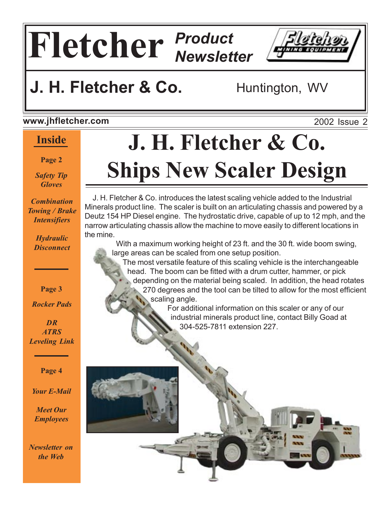# **Fletcher** *Product Newsletter*



#### **www.jhfletcher.com**

#### **Inside**

**Page 2**

*Safety Tip Gloves*

*Combination Towing / Brake Intensifiers*

> *Hydraulic Disconnect*

> > **Page 3**

*Rocker Pads*

*DR ATRS Leveling Link*

**Page 4**

*Your E-Mail*

*Meet Our Employees*

*Newsletter on the Web*

# **J. H. Fletcher & Co. Ships New Scaler Design**

 J. H. Fletcher & Co. introduces the latest scaling vehicle added to the Industrial Minerals product line. The scaler is built on an articulating chassis and powered by a Deutz 154 HP Diesel engine. The hydrostatic drive, capable of up to 12 mph, and the narrow articulating chassis allow the machine to move easily to different locations in the mine.

 With a maximum working height of 23 ft. and the 30 ft. wide boom swing, large areas can be scaled from one setup position.

 The most versatile feature of this scaling vehicle is the interchangeable head. The boom can be fitted with a drum cutter, hammer, or pick depending on the material being scaled. In addition, the head rotates 270 degrees and the tool can be tilted to allow for the most efficient scaling angle.

 For additional information on this scaler or any of our industrial minerals product line, contact Billy Goad at 304-525-7811 extension 227.



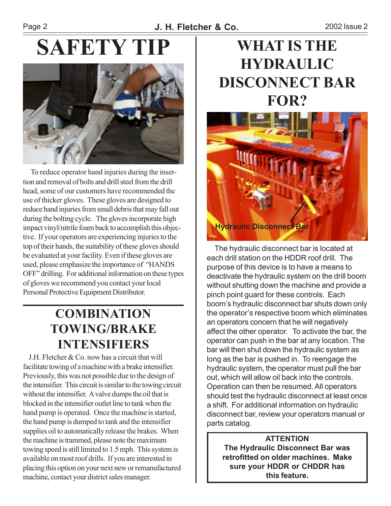# **SAFETY TIP WHAT IS THE**



 To reduce operator hand injuries during the insertion and removal of bolts and drill steel from the drill head, some of our customers have recommended the use of thicker gloves. These gloves are designed to reduce hand injuries from small debris that may fall out during the bolting cycle. The gloves incorporate high impact vinyl/nitrile foam back to accomplish this objective. If your operators are experiencing injuries to the top of their hands, the suitability of these gloves should be evaluated at your facility. Even if these gloves are used, please emphasize the importance of "HANDS" OFF" drilling. For additional information on these types of gloves we recommend you contact your local Personal Protective Equipment Distributor.

### **COMBINATION TOWING/BRAKE INTENSIFIERS**<br>**J.H. Fletcher & Co. now has a circuit that will**

facilitate towing of a machine with a brake intensifier. Previously, this was not possible due to the design of the intensifier. This circuit is similar to the towing circuit without the intensifier. A valve dumps the oil that is blocked in the intensifier outlet line to tank when the hand pump is operated. Once the machine is started, the hand pump is dumped to tank and the intensifier supplies oil to automatically release the brakes. When the machine is trammed, please note the maximum towing speed is still limited to 1.5 mph. This system is available on most roof drills. If you are interested in placing this option on your next new or remanufactured machine, contact your district sales manager.

# **HYDRAULIC DISCONNECT BAR FOR?**



 The hydraulic disconnect bar is located at each drill station on the HDDR roof drill. The purpose of this device is to have a means to deactivate the hydraulic system on the drill boom without shutting down the machine and provide a pinch point guard for these controls. Each boomís hydraulic disconnect bar shuts down only the operator's respective boom which eliminates an operators concern that he will negatively affect the other operator. To activate the bar, the operator can push in the bar at any location. The bar will then shut down the hydraulic system as long as the bar is pushed in. To reengage the hydraulic system, the operator must pull the bar out, which will allow oil back into the controls. Operation can then be resumed. All operators should test the hydraulic disconnect at least once a shift. For additional information on hydraulic disconnect bar, review your operators manual or parts catalog.

#### **ATTENTION The Hydraulic Disconnect Bar was retrofitted on older machines. Make sure your HDDR or CHDDR has this feature.**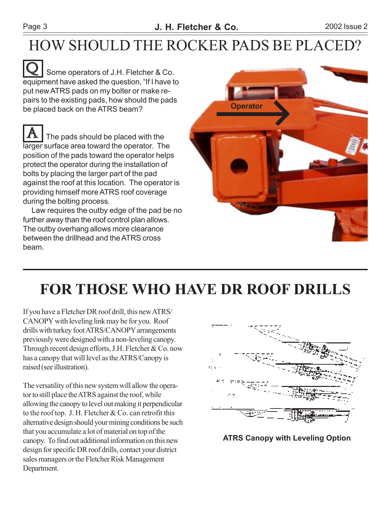#### Page 3 **J. H. Fletcher & Co.** 2002 Issue 2

## HOW SHOULD THE ROCKER PADS BE PLACED?

 Some operators of J.H. Fletcher & Co. equipment have asked the question, "If I have to put new ATRS pads on my bolter or make repairs to the existing pads, how should the pads be placed back on the ATRS beam?  $\overline{\mathbf{Q}}$ 

 The pads should be placed with the larger surface area toward the operator. The position of the pads toward the operator helps protect the operator during the installation of bolts by placing the larger part of the pad against the roof at this location. The operator is providing himself more ATRS roof coverage during the bolting process. A

 Law requires the outby edge of the pad be no further away than the roof control plan allows. The outby overhang allows more clearance between the drillhead and the ATRS cross beam.



# **FOR THOSE WHO HAVE DR ROOF DRILLS**

If you have a Fletcher DR roof drill, this new ATRS/ CANOPY with leveling link may be for you. Roof drills with turkey foot ATRS/CANOPY arrangements previously were designed with a non-leveling canopy. Through recent design efforts, J.H. Fletcher & Co. now has a canopy that will level as the ATRS/Canopy is raised (see illustration).

The versatility of this new system will allow the operator to still place the ATRS against the roof, while allowing the canopy to level out making it perpendicular to the roof top. J. H. Fletcher & Co. can retrofit this alternative design should your mining conditions be such that you accumulate a lot of material on top of the canopy. To find out additional information on this new design for specific DR roof drills, contact your district sales managers or the Fletcher Risk Management Department.



**ATRS Canopy with Leveling Option**